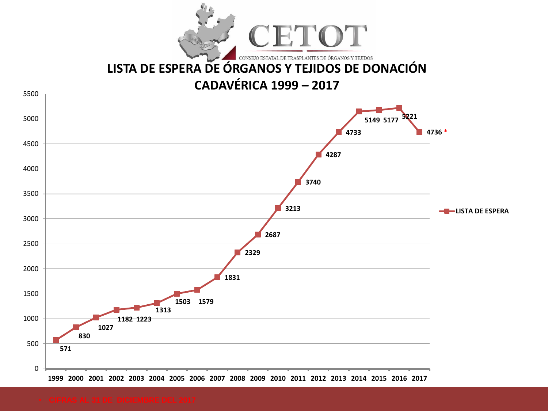

# **[LISTA DE ESPERA DE ÓRGANOS Y TEJIDOS DE DONACIÓN](GRAFICOS.xls)**

## **CADAVÉRICA 1999 – 2017**

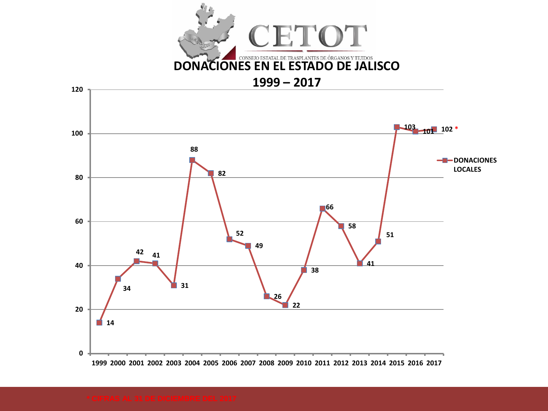

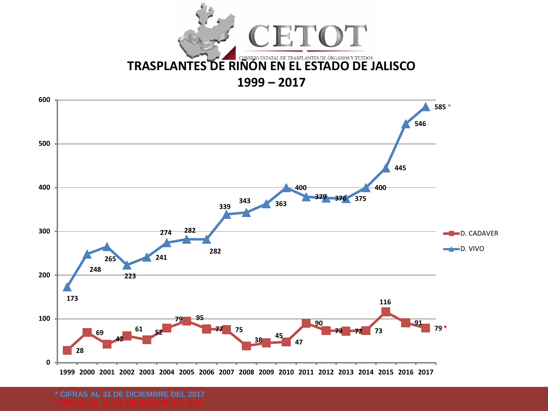



**\* CIFRAS AL 31 DE DICIEMBRE DEL 2017**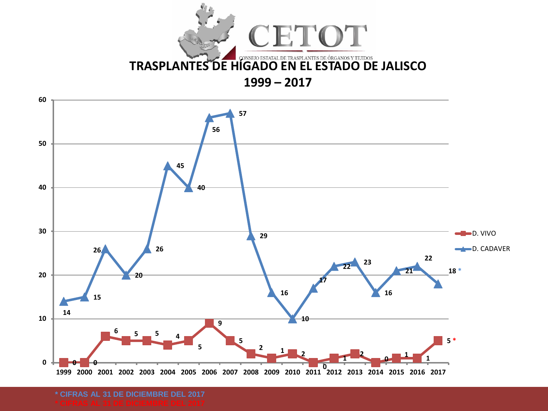



**\* CIFRAS AL 31 DE DICIEMBRE DEL 2017**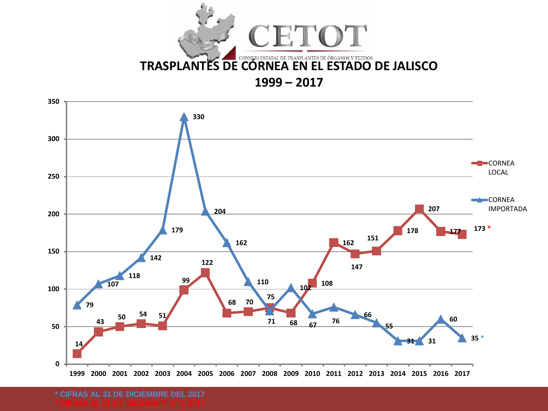

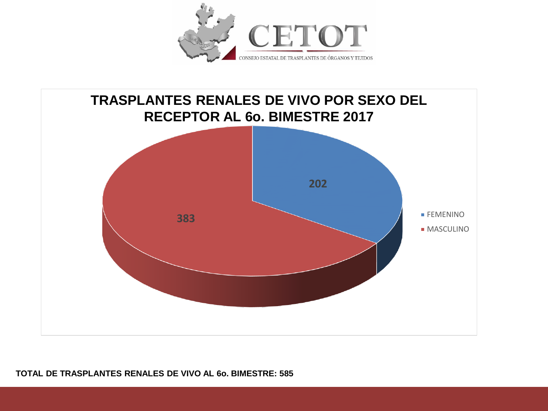



#### **TOTAL DE TRASPLANTES RENALES DE VIVO AL 6o. BIMESTRE: 585**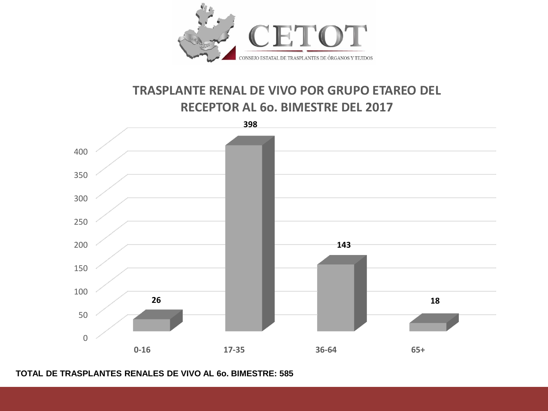

#### **TRASPLANTE RENAL DE VIVO POR GRUPO ETAREO DEL RECEPTOR AL 6o. BIMESTRE DEL 2017**



**TOTAL DE TRASPLANTES RENALES DE VIVO AL 6o. BIMESTRE: 585**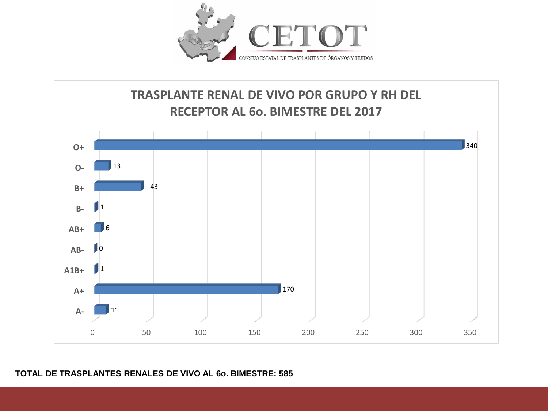



#### **TOTAL DE TRASPLANTES RENALES DE VIVO AL 6o. BIMESTRE: 585**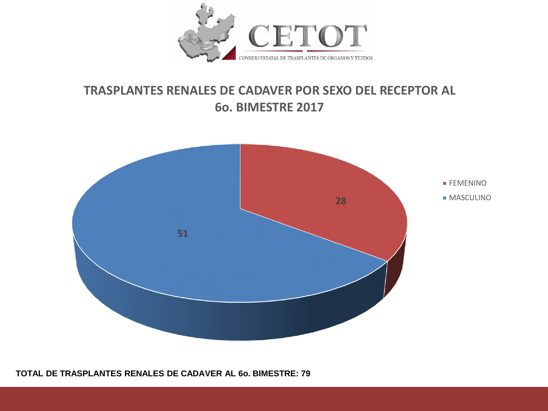

#### **TRASPLANTES RENALES DE CADAVER POR SEXO DEL RECEPTOR AL 6o. BIMESTRE 2017**



**TOTAL DE TRASPLANTES RENALES DE CADAVER AL 6o. BIMESTRE: 79**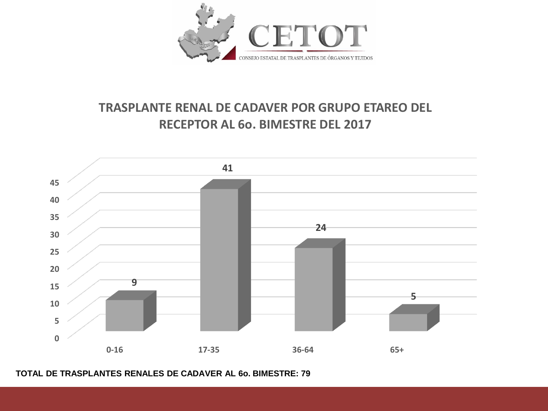

## **TRASPLANTE RENAL DE CADAVER POR GRUPO ETAREO DEL RECEPTOR AL 6o. BIMESTRE DEL 2017**



**TOTAL DE TRASPLANTES RENALES DE CADAVER AL 6o. BIMESTRE: 79**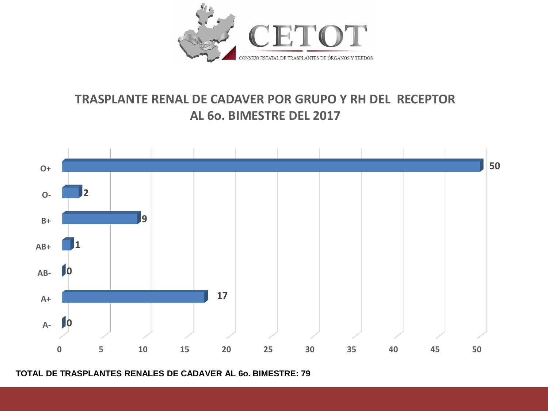

## **TRASPLANTE RENAL DE CADAVER POR GRUPO Y RH DEL RECEPTOR AL 6o. BIMESTRE DEL 2017**



**TOTAL DE TRASPLANTES RENALES DE CADAVER AL 6o. BIMESTRE: 79**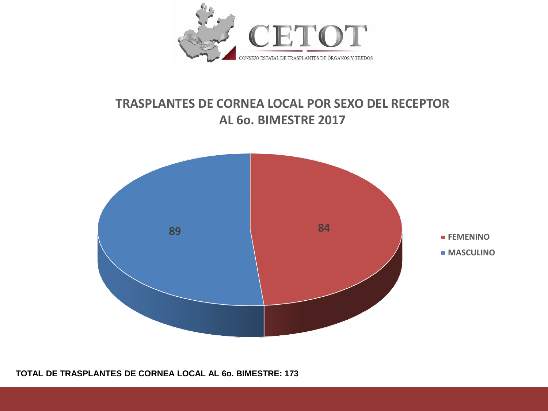

#### **TRASPLANTES DE CORNEA LOCAL POR SEXO DEL RECEPTOR AL 6o. BIMESTRE 2017**



**TOTAL DE TRASPLANTES DE CORNEA LOCAL AL 6o. BIMESTRE: 173**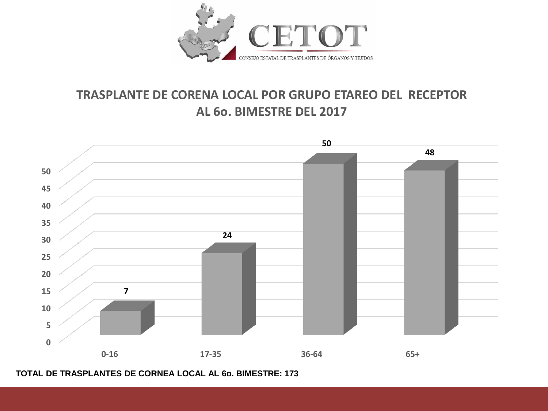

#### **TRASPLANTE DE CORENA LOCAL POR GRUPO ETAREO DEL RECEPTOR AL 6o. BIMESTRE DEL 2017**



**TOTAL DE TRASPLANTES DE CORNEA LOCAL AL 6o. BIMESTRE: 173**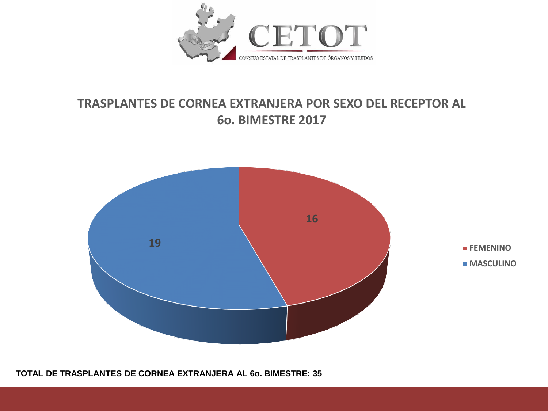

## **TRASPLANTES DE CORNEA EXTRANJERA POR SEXO DEL RECEPTOR AL 6o. BIMESTRE 2017**



**TOTAL DE TRASPLANTES DE CORNEA EXTRANJERA AL 6o. BIMESTRE: 35**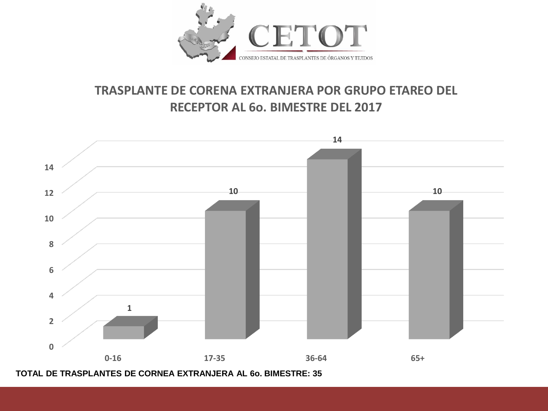

## **TRASPLANTE DE CORENA EXTRANJERA POR GRUPO ETAREO DEL RECEPTOR AL 6o. BIMESTRE DEL 2017**



**TOTAL DE TRASPLANTES DE CORNEA EXTRANJERA AL 6o. BIMESTRE: 35**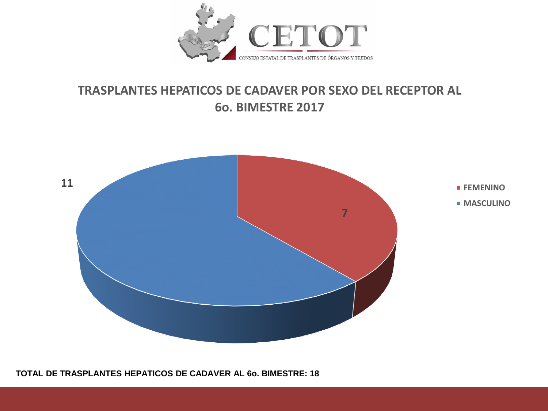

#### **TRASPLANTES HEPATICOS DE CADAVER POR SEXO DEL RECEPTOR AL 6o. BIMESTRE 2017**



**TOTAL DE TRASPLANTES HEPATICOS DE CADAVER AL 6o. BIMESTRE: 18**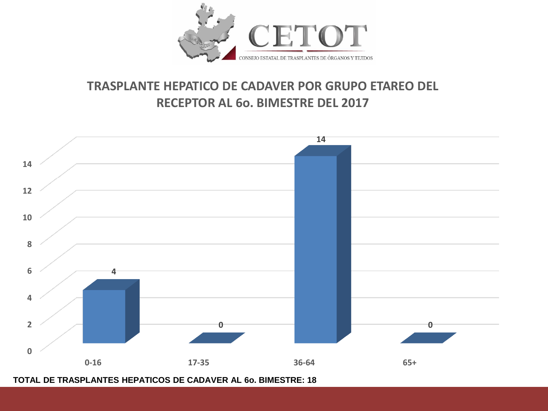

## **TRASPLANTE HEPATICO DE CADAVER POR GRUPO ETAREO DEL RECEPTOR AL 6o. BIMESTRE DEL 2017**



**TOTAL DE TRASPLANTES HEPATICOS DE CADAVER AL 6o. BIMESTRE: 18**